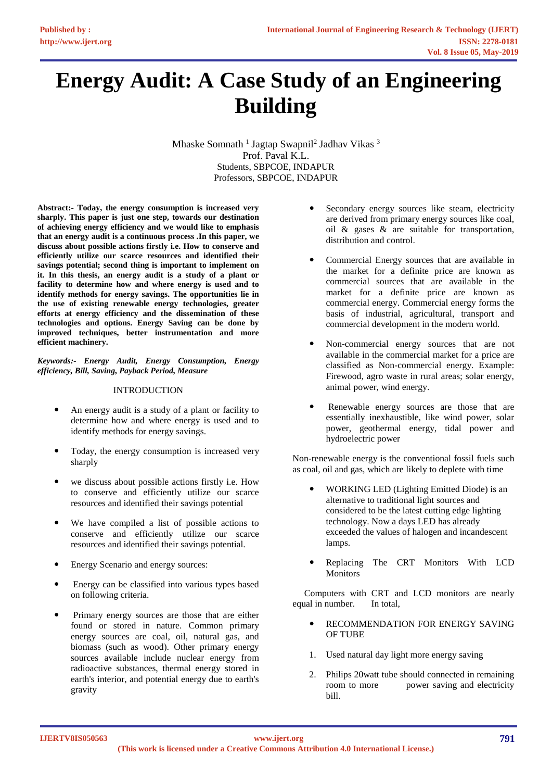# **Energy Audit: A Case Study of an Engineering Building**

Mhaske Somnath<sup>1</sup> Jagtap Swapnil<sup>2</sup> Jadhav Vikas<sup>3</sup> Prof. Paval K.L. Students, SBPCOE, INDAPUR Professors, SBPCOE, INDAPUR

**Abstract:- Today, the energy consumption is increased very sharply. This paper is just one step, towards our destination of achieving energy efficiency and we would like to emphasis that an energy audit is a continuous process .In this paper, we discuss about possible actions firstly i.e. How to conserve and efficiently utilize our scarce resources and identified their savings potential; second thing is important to implement on it. In this thesis, an energy audit is a study of a plant or facility to determine how and where energy is used and to identify methods for energy savings. The opportunities lie in the use of existing renewable energy technologies, greater efforts at energy efficiency and the dissemination of these technologies and options. Energy Saving can be done by improved techniques, better instrumentation and more efficient machinery.**

*Keywords:- Energy Audit, Energy Consumption, Energy efficiency, Bill, Saving, Payback Period, Measure*

## INTRODUCTION

- An energy audit is a study of a plant or facility to determine how and where energy is used and to identify methods for energy savings.
- Today, the energy consumption is increased very sharply
- we discuss about possible actions firstly i.e. How to conserve and efficiently utilize our scarce resources and identified their savings potential
- We have compiled a list of possible actions to conserve and efficiently utilize our scarce resources and identified their savings potential.
- Energy Scenario and energy sources:
- Energy can be classified into various types based on following criteria.
- Primary energy sources are those that are either found or stored in nature. Common primary energy sources are coal, oil, natural gas, and biomass (such as wood). Other primary energy sources available include nuclear energy from radioactive substances, thermal energy stored in earth's interior, and potential energy due to earth's gravity
- Secondary energy sources like steam, electricity are derived from primary energy sources like coal, oil & gases & are suitable for transportation, distribution and control.
- Commercial Energy sources that are available in the market for a definite price are known as commercial sources that are available in the market for a definite price are known as commercial energy. Commercial energy forms the basis of industrial, agricultural, transport and commercial development in the modern world.
- Non-commercial energy sources that are not available in the commercial market for a price are classified as Non-commercial energy. Example: Firewood, agro waste in rural areas; solar energy, animal power, wind energy.
- Renewable energy sources are those that are essentially inexhaustible, like wind power, solar power, geothermal energy, tidal power and hydroelectric power

Non-renewable energy is the conventional fossil fuels such as coal, oil and gas, which are likely to deplete with time

- WORKING LED (Lighting Emitted Diode) is an alternative to traditional light sources and considered to be the latest cutting edge lighting technology. Now a days LED has already exceeded the values of halogen and incandescent lamps.
- Replacing The CRT Monitors With LCD Monitors

 Computers with CRT and LCD monitors are nearly equal in number. In total,

- RECOMMENDATION FOR ENERGY SAVING OF TUBE
- 1. Used natural day light more energy saving
- 2. Philips 20watt tube should connected in remaining room to more power saving and electricity bill.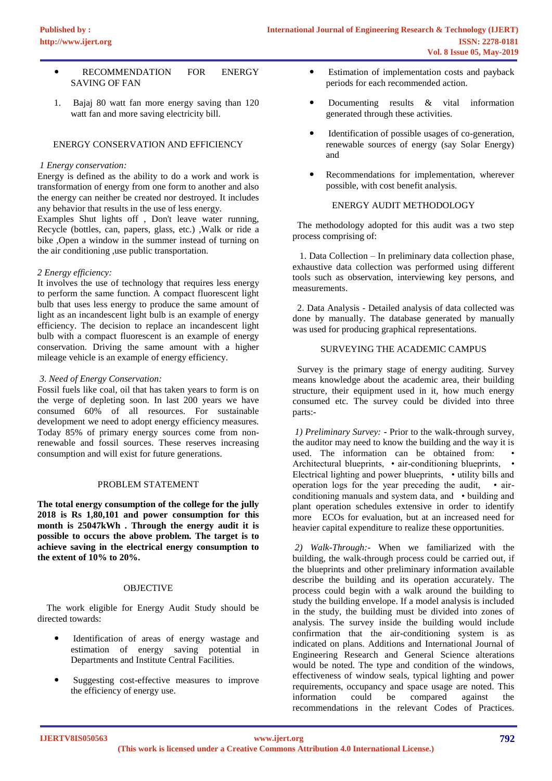- **RECOMMENDATION FOR ENERGY** SAVING OF FAN
- 1. Bajaj 80 watt fan more energy saving than 120 watt fan and more saving electricity bill.

## ENERGY CONSERVATION AND EFFICIENCY

## *1 Energy conservation:*

Energy is defined as the ability to do a work and work is transformation of energy from one form to another and also the energy can neither be created nor destroyed. It includes any behavior that results in the use of less energy.

Examples Shut lights off , Don't leave water running, Recycle (bottles, can, papers, glass, etc.) ,Walk or ride a bike ,Open a window in the summer instead of turning on the air conditioning ,use public transportation.

## *2 Energy efficiency:*

It involves the use of technology that requires less energy to perform the same function. A compact fluorescent light bulb that uses less energy to produce the same amount of light as an incandescent light bulb is an example of energy efficiency. The decision to replace an incandescent light bulb with a compact fluorescent is an example of energy conservation. Driving the same amount with a higher mileage vehicle is an example of energy efficiency.

# *3. Need of Energy Conservation:*

Fossil fuels like coal, oil that has taken years to form is on the verge of depleting soon. In last 200 years we have consumed 60% of all resources. For sustainable development we need to adopt energy efficiency measures. Today 85% of primary energy sources come from nonrenewable and fossil sources. These reserves increasing consumption and will exist for future generations.

# PROBLEM STATEMENT

**The total energy consumption of the college for the jully 2018 is Rs 1,80,101 and power consumption for this month is 25047kWh . Through the energy audit it is possible to occurs the above problem. The target is to achieve saving in the electrical energy consumption to the extent of 10% to 20%.** 

## **OBJECTIVE**

 The work eligible for Energy Audit Study should be directed towards:

- Identification of areas of energy wastage and estimation of energy saving potential in Departments and Institute Central Facilities.
- Suggesting cost-effective measures to improve the efficiency of energy use.
- Estimation of implementation costs and payback periods for each recommended action.
- Documenting results & vital information generated through these activities.
- Identification of possible usages of co-generation, renewable sources of energy (say Solar Energy) and
- Recommendations for implementation, wherever possible, with cost benefit analysis.

## ENERGY AUDIT METHODOLOGY

 The methodology adopted for this audit was a two step process comprising of:

 1. Data Collection – In preliminary data collection phase, exhaustive data collection was performed using different tools such as observation, interviewing key persons, and measurements.

 2. Data Analysis - Detailed analysis of data collected was done by manually. The database generated by manually was used for producing graphical representations.

# SURVEYING THE ACADEMIC CAMPUS

 Survey is the primary stage of energy auditing. Survey means knowledge about the academic area, their building structure, their equipment used in it, how much energy consumed etc. The survey could be divided into three parts:-

*1) Preliminary Survey:* **-** Prior to the walk-through survey, the auditor may need to know the building and the way it is used. The information can be obtained from: Architectural blueprints, • air-conditioning blueprints, • Electrical lighting and power blueprints, • utility bills and operation logs for the year preceding the audit, • airconditioning manuals and system data, and • building and plant operation schedules extensive in order to identify more ECOs for evaluation, but at an increased need for heavier capital expenditure to realize these opportunities.

*2) Walk-Through:-* When we familiarized with the building, the walk-through process could be carried out, if the blueprints and other preliminary information available describe the building and its operation accurately. The process could begin with a walk around the building to study the building envelope. If a model analysis is included in the study, the building must be divided into zones of analysis. The survey inside the building would include confirmation that the air-conditioning system is as indicated on plans. Additions and International Journal of Engineering Research and General Science alterations would be noted. The type and condition of the windows, effectiveness of window seals, typical lighting and power requirements, occupancy and space usage are noted. This<br>information could be compared against the information could be compared against the recommendations in the relevant Codes of Practices.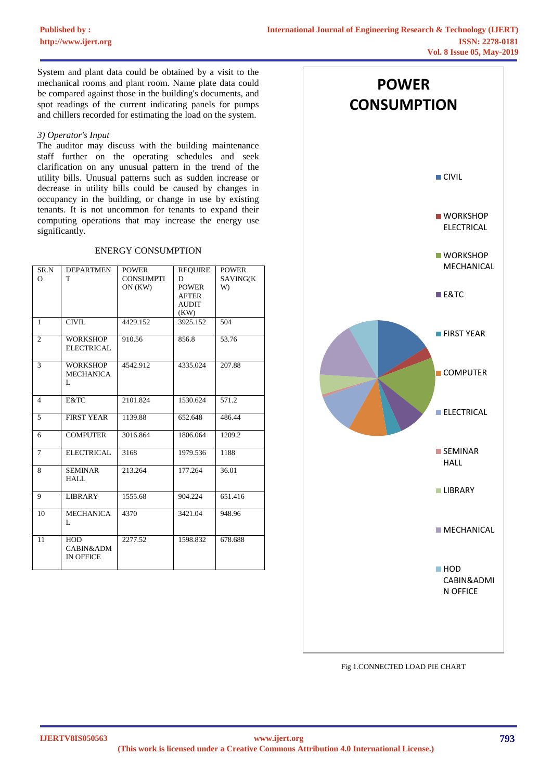System and plant data could be obtained by a visit to the mechanical rooms and plant room. Name plate data could be compared against those in the building's documents, and spot readings of the current indicating panels for pumps and chillers recorded for estimating the load on the system.

## *3) Operator's Input*

The auditor may discuss with the building maintenance staff further on the operating schedules and seek clarification on any unusual pattern in the trend of the utility bills. Unusual patterns such as sudden increase or decrease in utility bills could be caused by changes in occupancy in the building, or change in use by existing tenants. It is not uncommon for tenants to expand their computing operations that may increase the energy use significantly.

# ENERGY CONSUMPTION

| SR.N           | <b>DEPARTMEN</b>      | <b>POWER</b>     | <b>REQUIRE</b>   | <b>POWER</b> |
|----------------|-----------------------|------------------|------------------|--------------|
| $\Omega$       | T                     | <b>CONSUMPTI</b> | D                | SAVING(K     |
|                |                       | ON (KW)          | <b>POWER</b>     | W)           |
|                |                       |                  | <b>AFTER</b>     |              |
|                |                       |                  | <b>AUDIT</b>     |              |
| $\mathbf{1}$   | <b>CIVIL</b>          | 4429.152         | (KW)<br>3925.152 | 504          |
|                |                       |                  |                  |              |
| 2              | <b>WORKSHOP</b>       | 910.56           | 856.8            | 53.76        |
|                | <b>ELECTRICAL</b>     |                  |                  |              |
| 3              | <b>WORKSHOP</b>       | 4542.912         | 4335.024         | 207.88       |
|                | <b>MECHANICA</b>      |                  |                  |              |
|                | L                     |                  |                  |              |
|                |                       |                  |                  |              |
| $\overline{4}$ | E&TC                  | 2101.824         | 1530.624         | 571.2        |
| 5              | <b>FIRST YEAR</b>     | 1139.88          | 652.648          | 486.44       |
|                |                       |                  |                  |              |
| 6              | <b>COMPUTER</b>       | 3016.864         | 1806.064         | 1209.2       |
| $\tau$         | <b>ELECTRICAL</b>     | 3168             | 1979.536         | 1188         |
|                |                       |                  |                  |              |
| 8              | <b>SEMINAR</b>        | 213.264          | 177.264          | 36.01        |
|                | HALL.                 |                  |                  |              |
| 9              | <b>LIBRARY</b>        | 1555.68          | 904.224          | 651.416      |
|                |                       |                  |                  |              |
| 10             | <b>MECHANICA</b><br>L | 4370             | 3421.04          | 948.96       |
|                |                       |                  |                  |              |
| 11             | <b>HOD</b>            | 2277.52          | 1598.832         | 678.688      |
|                | CABIN&ADM             |                  |                  |              |
|                | <b>IN OFFICE</b>      |                  |                  |              |
|                |                       |                  |                  |              |



#### Fig 1.CONNECTED LOAD PIE CHART